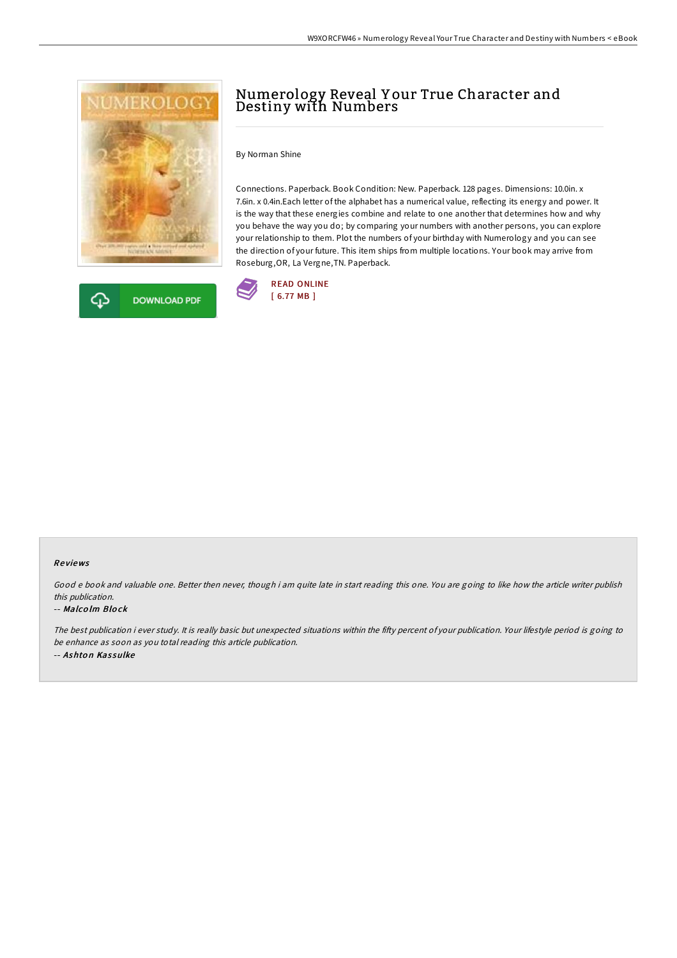



# Numerology Reveal Y our True Character and Destiny with Numbers

By Norman Shine

Connections. Paperback. Book Condition: New. Paperback. 128 pages. Dimensions: 10.0in. x 7.6in. x 0.4in.Each letter of the alphabet has a numerical value, reflecting its energy and power. It is the way that these energies combine and relate to one another that determines how and why you behave the way you do; by comparing your numbers with another persons, you can explore your relationship to them. Plot the numbers of your birthday with Numerology and you can see the direction of your future. This item ships from multiple locations. Your book may arrive from Roseburg,OR, La Vergne,TN. Paperback.



#### Re views

Good <sup>e</sup> book and valuable one. Better then never, though i am quite late in start reading this one. You are going to like how the article writer publish this publication.

#### -- Malco lm Blo ck

The best publication i ever study. It is really basic but unexpected situations within the fifty percent of your publication. Your lifestyle period is going to be enhance as soon as you total reading this article publication. -- Ashton Kassulke